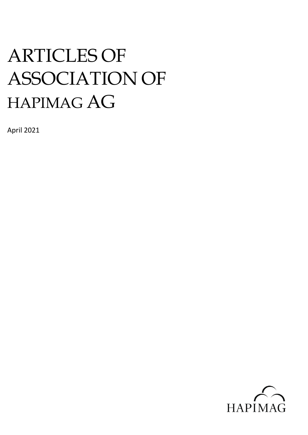# ARTICLES OF ASSOCIATION OF HAPIMAG AG

April 2021

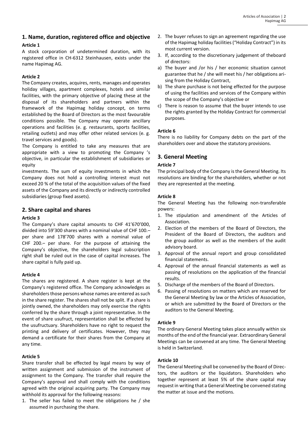# **1. Name, duration, registered office and objective Article 1**

A stock corporation of undetermined duration, with its registered office in CH-6312 Steinhausen, exists under the name Hapimag AG.

#### **Article 2**

The Company creates, acquires, rents, manages and operates holiday villages, apartment complexes, hotels and similar facilities, with the primary objective of placing these at the disposal of its shareholders and partners within the framework of the Hapimag holiday concept, on terms established by the Board of Directors as the most favourable conditions possible. The Company may operate ancillary operations and facilities (e. g. restaurants, sports facilities, retailing outlets) and may offer other related services (e. g. travel services and goods).

The Company is entitled to take any measures that are appropriate with a view to promoting the Company 's objective, in particular the establishment of subsidiaries or equity

investments. The sum of equity investments in which the Company does not hold a controlling interest must not exceed 20 % of the total of the acquisition values of the fixed assets of the Company and its directly or indirectly controlled subsidiaries (group fixed assets).

## **2. Share capital and shares**

#### **Article 3**

The Company's share capital amounts to CHF 41'670'000, divided into 59'300 shares with a nominal value of CHF 100.– per share and 178'700 shares with a nominal value of CHF 200.– per share. For the purpose of attaining the Company's objective, the shareholders legal subscription right shall be ruled out in the case of capital increases. The share capital is fully paid up.

#### **Article 4**

The shares are registered. A share register is kept at the Company's registered office. The Company acknowledges as shareholders those persons whose names are entered as such in the share register. The shares shall not be split. If a share is jointly owned, the shareholders may only exercise the rights conferred by the share through a joint representative. In the event of share usufruct, representation shall be effected by the usufructuary. Shareholders have no right to request the printing and delivery of certificates. However, they may demand a certificate for their shares from the Company at any time.

## **Article 5**

Share transfer shall be effected by legal means by way of written assignment and submission of the instrument of assignment to the Company. The transfer shall require the Company's approval and shall comply with the conditions agreed with the original acquiring party. The Company may withhold its approval for the following reasons:

1. The seller has failed to meet the obligations he / she assumed in purchasing the share.

- 2. The buyer refuses to sign an agreement regarding the use of the Hapimag holiday facilities ("Holiday Contract") in its most current version.
- 3. If, according to the discretionary judgement of theboard of directors:
- a) The buyer and /or his / her economic situation cannot guarantee that he / she will meet his / her obligations arising from the Holiday Contract,
- b) The share purchase is not being effected for the purpose of using the facilities and services of the Company within the scope of the Company's objective or
- c) There is reason to assume that the buyer intends to use the rights granted by the Holiday Contract for commercial purposes.

### **Article 6**

There is no liability for Company debts on the part of the shareholders over and above the statutory provisions.

# **3. General Meeting**

### **Article 7**

The principal body of the Company is the General Meeting. Its resolutions are binding for the shareholders, whether or not they are represented at the meeting.

#### **Article 8**

The General Meeting has the following non-transferable powers:

- 1. The stipulation and amendment of the Articles of Association.
- 2. Election of the members of the Board of Directors, the President of the Board of Directors, the auditors and the group auditor as well as the members of the audit advisory board.
- 3. Approval of the annual report and group consolidated financial statements.
- 4. Approval of the annual financial statements as well as passing of resolutions on the application of the financial results.
- 5. Discharge of the members of the Board of Directors.
- 6. Passing of resolutions on matters which are reserved for the General Meeting by law or the Articles of Association, or which are submitted by the Board of Directors or the auditors to the General Meeting.

#### **Article 9**

The ordinary General Meeting takes place annually within six months of the end of the financial year. Extraordinary General Meetings can be convened at any time. The General Meeting is held in Switzerland.

## **Article 10**

The General Meeting shall be convened by the Board of Directors, the auditors or the liquidators. Shareholders who together represent at least 5% of the share capital may request in writing that a General Meeting be convened stating the matter at issue and the motions.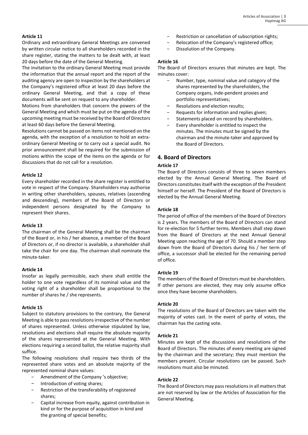### **Article 11**

Ordinary and extraordinary General Meetings are convened by written circular notice to all shareholders recorded in the share register, stating the matters to be dealt with, at least 20 days before the date of the General Meeting.

The invitation to the ordinary General Meeting must provide the information that the annual report and the report of the auditing agency are open to inspection by the shareholders at the Company's registered office at least 20 days before the ordinary General Meeting, and that a copy of these documents will be sent on request to any shareholder.

Motions from shareholders that concern the powers of the General Meeting and which must be put on the agenda of the upcoming meeting must be received by the Board of Directors at least 60 days before the General Meeting.

Resolutions cannot be passed on items not mentioned on the agenda, with the exception of a resolution to hold an extraordinary General Meeting or to carry out a special audit. No prior announcement shall be required for the submission of motions within the scope of the items on the agenda or for discussions that do not call for a resolution.

#### **Article 12**

Every shareholder recorded in the share register is entitled to vote in respect of the Company. Shareholders may authorise in writing other shareholders, spouses, relatives (ascending and descending), members of the Board of Directors or independent persons designated by the Company to represent their shares.

#### **Article 13**

The chairman of the General Meeting shall be the chairman of the Board or, in his / her absence, a member of the Board of Directors or, if no director is available, a shareholder shall take the chair for one day. The chairman shall nominate the minute-taker.

#### **Article 14**

Insofar as legally permissible, each share shall entitle the holder to one vote regardless of its nominal value and the voting right of a shareholder shall be proportional to the number of shares he / she represents.

#### **Article 15**

Subject to statutory provisions to the contrary, the General Meeting is able to pass resolutions irrespective of the number of shares represented. Unless otherwise stipulated by law, resolutions and elections shall require the absolute majority of the shares represented at the General Meeting. With elections requiring a second ballot, the relative majority shall suffice.

The following resolutions shall require two thirds of the represented share votes and an absolute majority of the represented nominal share values:

- Amendment of the Company 's objective;
- − Introduction of voting shares;
- Restriction of the transferability of registered shares;
- − Capital increase from equity, against contribution in kind or for the purpose of acquisition in kind and the granting of special benefits;
- Restriction or cancellation of subscription rights;
- Relocation of the Company's registered office;
- − Dissolution of the Company.

#### **Article 16**

The Board of Directors ensures that minutes are kept. The minutes cover:

- − Number, type, nominal value and category of the shares represented by the shareholders, the Company organs, inde-pendent proxies and portfolio representatives;
- − Resolutions and election results;
- − Requests for information and replies given;
- Statements placed on record by shareholders.
- Every shareholder is entitled to inspect the minutes. The minutes must be signed by the chairman and the minute-taker and approved by the Board of Directors.

### **4. Board of Directors**

#### **Article 17**

The Board of Directors consists of three to seven members elected by the Annual General Meeting. The Board of Directors constitutes itself with the exception of the President himself or herself. The President of the Board of Directors is elected by the Annual General Meeting.

#### **Article 18**

The period of office of the members of the Board of Directors is 2 years. The members of the Board of Directors can stand for re-election for 5 further terms. Members shall step down from the Board of Directors at the next Annual General Meeting upon reaching the age of 70. Should a member step down from the Board of Directors during his / her term of office, a successor shall be elected for the remaining period of office.

#### **Article 19**

The members of the Board of Directors must be shareholders. If other persons are elected, they may only assume office once they have become shareholders.

#### **Article 20**

The resolutions of the Board of Directors are taken with the majority of votes cast. In the event of parity of votes, the chairman has the casting vote.

#### **Article 21**

Minutes are kept of the discussions and resolutions of the Board of Directors. The minutes of every meeting are signed by the chairman and the secretary; they must mention the members present. Circular resolutions can be passed. Such resolutions must also be minuted.

#### **Article 22**

The Board of Directors may pass resolutions in all matters that are not reserved by law or the Articles of Association for the General Meeting.